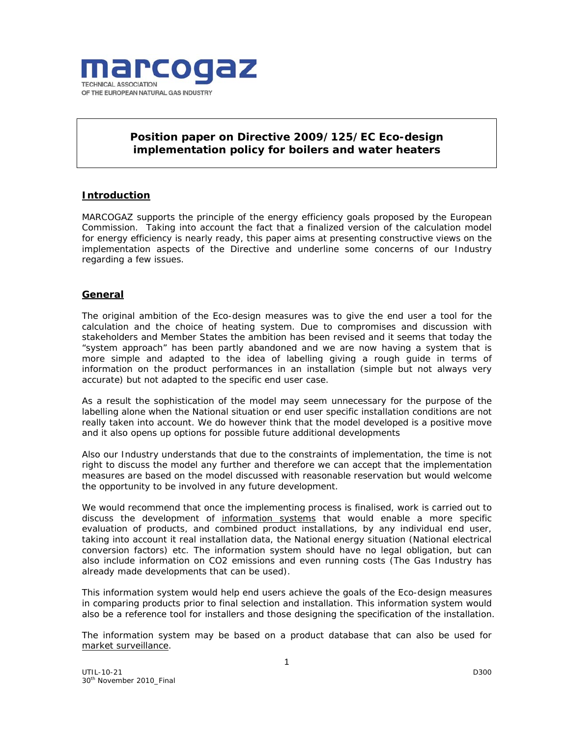

# **Position paper on Directive 2009/125/EC Eco-design implementation policy for boilers and water heaters**

## **Introduction**

MARCOGAZ supports the principle of the energy efficiency goals proposed by the European Commission. Taking into account the fact that a finalized version of the calculation model for energy efficiency is nearly ready, this paper aims at presenting constructive views on the implementation aspects of the Directive and underline some concerns of our Industry regarding a few issues.

## **General**

The original ambition of the Eco-design measures was to give the end user a tool for the calculation and the choice of heating system. Due to compromises and discussion with stakeholders and Member States the ambition has been revised and it seems that today the "system approach" has been partly abandoned and we are now having a system that is more simple and adapted to the idea of labelling giving a rough guide in terms of information on the product performances in an installation (simple but not always very accurate) but not adapted to the specific end user case.

As a result the sophistication of the model may seem unnecessary for the purpose of the labelling alone when the National situation or end user specific installation conditions are not really taken into account. We do however think that the model developed is a positive move and it also opens up options for possible future additional developments

Also our Industry understands that due to the constraints of implementation, the time is not right to discuss the model any further and therefore we can accept that the implementation measures are based on the model discussed with reasonable reservation but would welcome the opportunity to be involved in any future development.

We would recommend that once the implementing process is finalised, work is carried out to discuss the development of information systems that would enable a more specific evaluation of products, and combined product installations, by any individual end user, taking into account it real installation data, the National energy situation (National electrical conversion factors) etc. The information system should have no legal obligation, but can also include information on CO2 emissions and even running costs (The Gas Industry has already made developments that can be used).

This information system would help end users achieve the goals of the Eco-design measures in comparing products prior to final selection and installation. This information system would also be a reference tool for installers and those designing the specification of the installation.

The information system may be based on a product database that can also be used for market surveillance.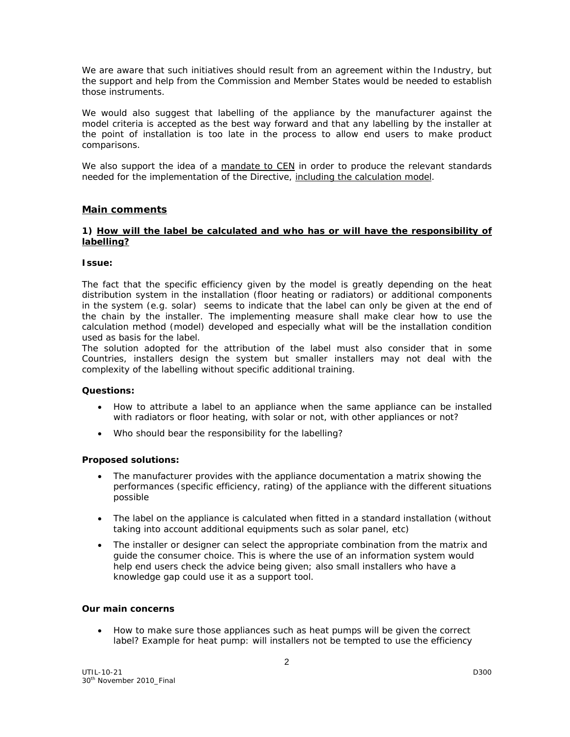We are aware that such initiatives should result from an agreement within the Industry, but the support and help from the Commission and Member States would be needed to establish those instruments.

We would also suggest that labelling of the appliance by the manufacturer against the model criteria is accepted as the best way forward and that any labelling by the installer at the point of installation is too late in the process to allow end users to make product comparisons.

We also support the idea of a mandate to CEN in order to produce the relevant standards needed for the implementation of the Directive, including the calculation model.

## **Main comments**

#### **1) How will the label be calculated and who has or will have the responsibility of labelling?**

#### *Issue:*

The fact that the specific efficiency given by the model is greatly depending on the heat distribution system in the installation (floor heating or radiators) or additional components in the system (e.g. solar) seems to indicate that the label can only be given at the end of the chain by the installer. The implementing measure shall make clear how to use the calculation method (model) developed and especially what will be the installation condition used as basis for the label.

The solution adopted for the attribution of the label must also consider that in some Countries, installers design the system but smaller installers may not deal with the complexity of the labelling without specific additional training.

## **Questions:**

- How to attribute a label to an appliance when the same appliance can be installed with radiators or floor heating, with solar or not, with other appliances or not?
- Who should bear the responsibility for the labelling?

## *Proposed solutions:*

- The manufacturer provides with the appliance documentation a matrix showing the performances (specific efficiency, rating) of the appliance with the different situations possible
- The label on the appliance is calculated when fitted in a standard installation (without taking into account additional equipments such as solar panel, etc)
- The installer or designer can select the appropriate combination from the matrix and guide the consumer choice. This is where the use of an information system would help end users check the advice being given; also small installers who have a knowledge gap could use it as a support tool.

#### **Our main concerns**

• How to make sure those appliances such as heat pumps will be given the correct label? Example for heat pump: will installers not be tempted to use the efficiency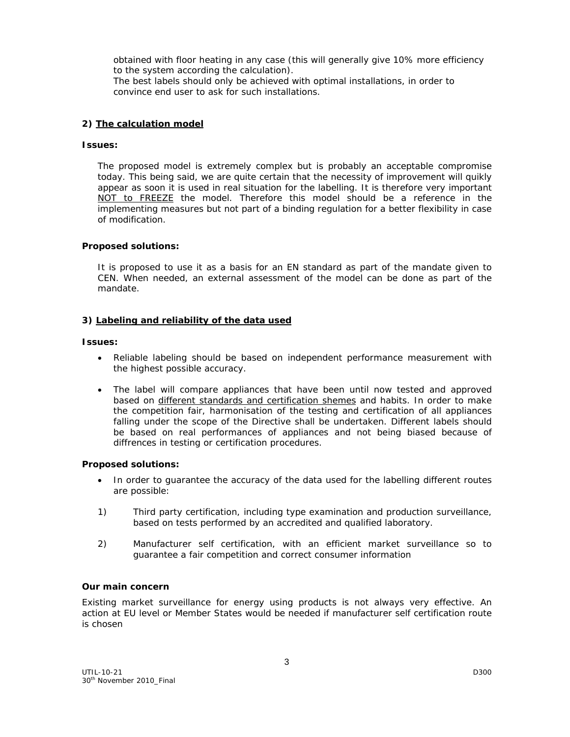obtained with floor heating in any case (this will generally give 10% more efficiency to the system according the calculation).

The best labels should only be achieved with optimal installations, in order to convince end user to ask for such installations.

## **2) The calculation model**

#### *Issues:*

The proposed model is extremely complex but is probably an acceptable compromise today. This being said, we are quite certain that the necessity of improvement will quikly appear as soon it is used in real situation for the labelling. It is therefore very important NOT to FREEZE the model. Therefore this model should be a reference in the implementing measures but not part of a binding regulation for a better flexibility in case of modification.

#### *Proposed solutions:*

It is proposed to use it as a basis for an EN standard as part of the mandate given to CEN. When needed, an external assessment of the model can be done as part of the mandate.

#### **3) Labeling and reliability of the data used**

#### *Issues:*

- Reliable labeling should be based on independent performance measurement with the highest possible accuracy.
- The label will compare appliances that have been until now tested and approved based on different standards and certification shemes and habits. In order to make the competition fair, harmonisation of the testing and certification of all appliances falling under the scope of the Directive shall be undertaken. Different labels should be based on real performances of appliances and not being biased because of diffrences in testing or certification procedures.

#### *Proposed solutions:*

- In order to guarantee the accuracy of the data used for the labelling different routes are possible:
- 1) Third party certification, including type examination and production surveillance, based on tests performed by an accredited and qualified laboratory.
- 2) Manufacturer self certification, with an efficient market surveillance so to guarantee a fair competition and correct consumer information

#### **Our main concern**

Existing market surveillance for energy using products is not always very effective. An action at EU level or Member States would be needed if manufacturer self certification route is chosen